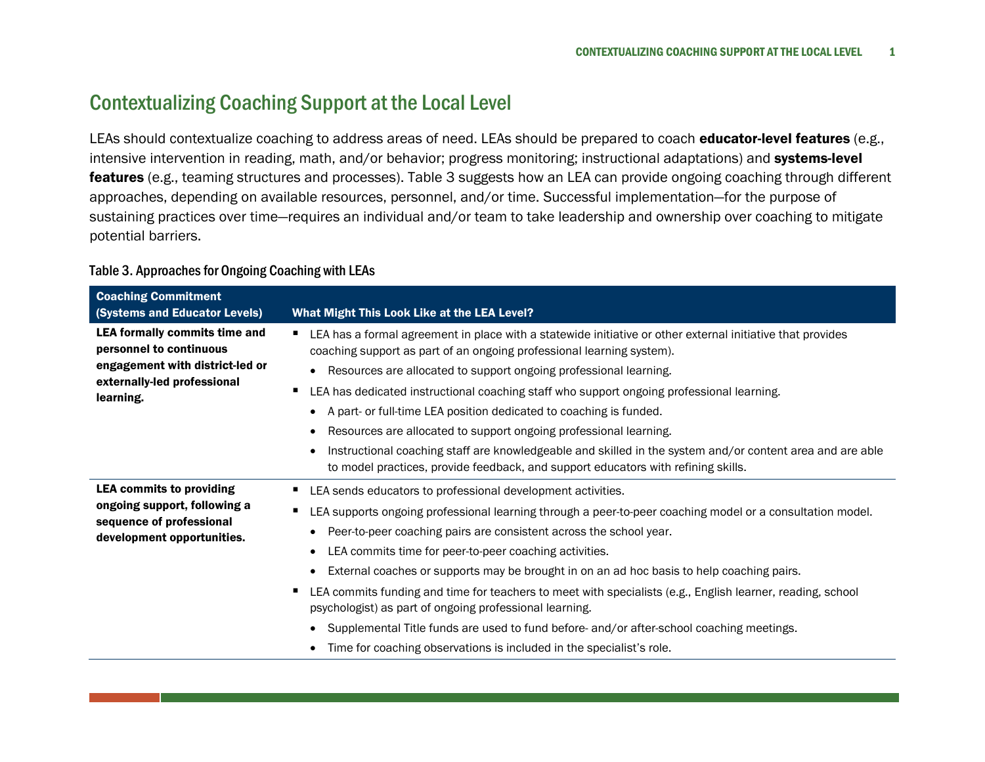## Contextualizing Coaching Support at the Local Level

LEAs should contextualize coaching to address areas of need. LEAs should be prepared to coach educator-level features (e.g., intensive intervention in reading, math, and/or behavior; progress monitoring; instructional adaptations) and systems-level features (e.g., teaming structures and processes). Table 3 suggests how an LEA can provide ongoing coaching through different approaches, depending on available resources, personnel, and/or time. Successful implementation—for the purpose of sustaining practices over time—requires an individual and/or team to take leadership and ownership over coaching to mitigate potential barriers.

## Table 3. Approaches for Ongoing Coaching with LEAs

| <b>Coaching Commitment</b><br>(Systems and Educator Levels)                                                                                    | What Might This Look Like at the LEA Level?                                                                                                                                                                                                                                                                                                                                                                                                                                                                                                                                                                                                                                                                                                                                               |
|------------------------------------------------------------------------------------------------------------------------------------------------|-------------------------------------------------------------------------------------------------------------------------------------------------------------------------------------------------------------------------------------------------------------------------------------------------------------------------------------------------------------------------------------------------------------------------------------------------------------------------------------------------------------------------------------------------------------------------------------------------------------------------------------------------------------------------------------------------------------------------------------------------------------------------------------------|
| <b>LEA formally commits time and</b><br>personnel to continuous<br>engagement with district-led or<br>externally-led professional<br>learning. | LEA has a formal agreement in place with a statewide initiative or other external initiative that provides<br>$\blacksquare$<br>coaching support as part of an ongoing professional learning system).<br>• Resources are allocated to support ongoing professional learning.<br>LEA has dedicated instructional coaching staff who support ongoing professional learning.<br>A part- or full-time LEA position dedicated to coaching is funded.<br>$\bullet$<br>Resources are allocated to support ongoing professional learning.<br>$\bullet$<br>Instructional coaching staff are knowledgeable and skilled in the system and/or content area and are able<br>$\bullet$<br>to model practices, provide feedback, and support educators with refining skills.                             |
| <b>LEA commits to providing</b><br>ongoing support, following a<br>sequence of professional<br>development opportunities.                      | LEA sends educators to professional development activities.<br>LEA supports ongoing professional learning through a peer-to-peer coaching model or a consultation model.<br>Peer-to-peer coaching pairs are consistent across the school year.<br>$\bullet$<br>LEA commits time for peer-to-peer coaching activities.<br>$\bullet$<br>External coaches or supports may be brought in on an ad hoc basis to help coaching pairs.<br>$\bullet$<br>LEA commits funding and time for teachers to meet with specialists (e.g., English learner, reading, school<br>psychologist) as part of ongoing professional learning.<br>Supplemental Title funds are used to fund before- and/or after-school coaching meetings.<br>Time for coaching observations is included in the specialist's role. |